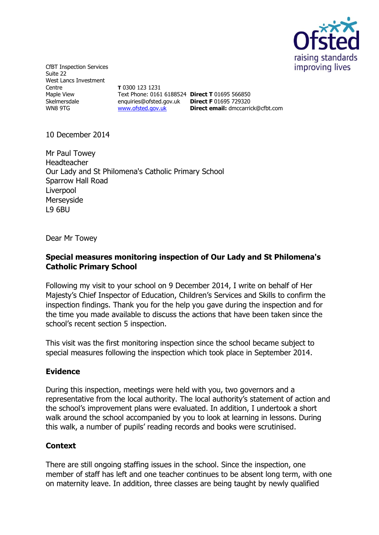

CfBT Inspection Services Suite 22 West Lancs Investment Centre Maple View Skelmersdale WN8 9TG

**T** 0300 123 1231 Text Phone: 0161 6188524 **Direct T** 01695 566850 enquiries@ofsted.gov.uk **Direct F** 01695 729320 [www.ofsted.gov.uk](http://www.ofsted.gov.uk/)

**Direct email:** [dmccarrick@cfbt.com](../AppData/Local/Microsoft/Windows/Temporary%20Internet%20Files/liwaskow/AppData/Local/Microsoft/Windows/Temporary%20Internet%20Files/Content.Outlook/O167RC1C/dmccarrick@cfbt.com)

10 December 2014

Mr Paul Towey Headteacher Our Lady and St Philomena's Catholic Primary School Sparrow Hall Road **Liverpool** Merseyside L9 6BU

Dear Mr Towey

## **Special measures monitoring inspection of Our Lady and St Philomena's Catholic Primary School**

Following my visit to your school on 9 December 2014, I write on behalf of Her Majesty's Chief Inspector of Education, Children's Services and Skills to confirm the inspection findings. Thank you for the help you gave during the inspection and for the time you made available to discuss the actions that have been taken since the school's recent section 5 inspection.

This visit was the first monitoring inspection since the school became subject to special measures following the inspection which took place in September 2014.

## **Evidence**

During this inspection, meetings were held with you, two governors and a representative from the local authority. The local authority's statement of action and the school's improvement plans were evaluated. In addition, I undertook a short walk around the school accompanied by you to look at learning in lessons. During this walk, a number of pupils' reading records and books were scrutinised.

## **Context**

There are still ongoing staffing issues in the school. Since the inspection, one member of staff has left and one teacher continues to be absent long term, with one on maternity leave. In addition, three classes are being taught by newly qualified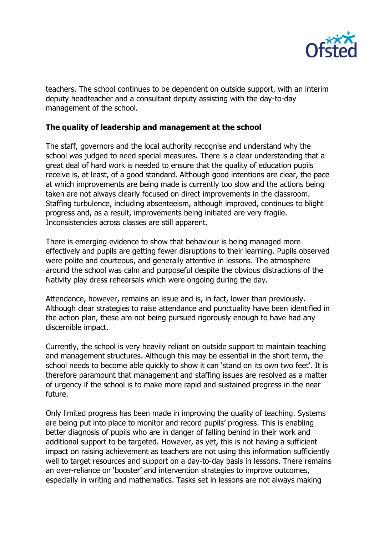

teachers. The school continues to be dependent on outside support, with an interim deputy headteacher and a consultant deputy assisting with the day-to-day management of the school.

## **The quality of leadership and management at the school**

The staff, governors and the local authority recognise and understand why the school was judged to need special measures. There is a clear understanding that a great deal of hard work is needed to ensure that the quality of education pupils receive is, at least, of a good standard. Although good intentions are clear, the pace at which improvements are being made is currently too slow and the actions being taken are not always clearly focused on direct improvements in the classroom. Staffing turbulence, including absenteeism, although improved, continues to blight progress and, as a result, improvements being initiated are very fragile. Inconsistencies across classes are still apparent.

There is emerging evidence to show that behaviour is being managed more effectively and pupils are getting fewer disruptions to their learning. Pupils observed were polite and courteous, and generally attentive in lessons. The atmosphere around the school was calm and purposeful despite the obvious distractions of the Nativity play dress rehearsals which were ongoing during the day.

Attendance, however, remains an issue and is, in fact, lower than previously. Although clear strategies to raise attendance and punctuality have been identified in the action plan, these are not being pursued rigorously enough to have had any discernible impact.

Currently, the school is very heavily reliant on outside support to maintain teaching and management structures. Although this may be essential in the short term, the school needs to become able quickly to show it can 'stand on its own two feet'. It is therefore paramount that management and staffing issues are resolved as a matter of urgency if the school is to make more rapid and sustained progress in the near future.

Only limited progress has been made in improving the quality of teaching. Systems are being put into place to monitor and record pupils' progress. This is enabling better diagnosis of pupils who are in danger of falling behind in their work and additional support to be targeted. However, as yet, this is not having a sufficient impact on raising achievement as teachers are not using this information sufficiently well to target resources and support on a day-to-day basis in lessons. There remains an over-reliance on 'booster' and intervention strategies to improve outcomes, especially in writing and mathematics. Tasks set in lessons are not always making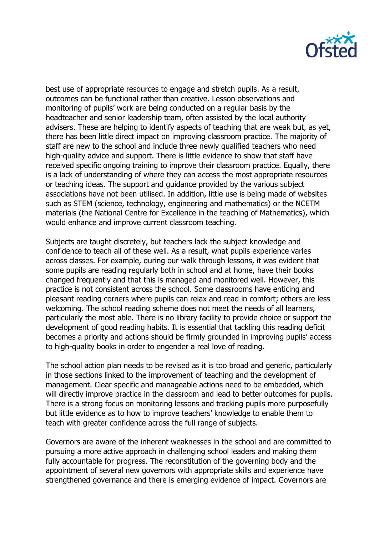

best use of appropriate resources to engage and stretch pupils. As a result, outcomes can be functional rather than creative. Lesson observations and monitoring of pupils' work are being conducted on a regular basis by the headteacher and senior leadership team, often assisted by the local authority advisers. These are helping to identify aspects of teaching that are weak but, as yet, there has been little direct impact on improving classroom practice. The majority of staff are new to the school and include three newly qualified teachers who need high-quality advice and support. There is little evidence to show that staff have received specific ongoing training to improve their classroom practice. Equally, there is a lack of understanding of where they can access the most appropriate resources or teaching ideas. The support and guidance provided by the various subject associations have not been utilised. In addition, little use is being made of websites such as STEM (science, technology, engineering and mathematics) or the NCETM materials (the National Centre for Excellence in the teaching of Mathematics), which would enhance and improve current classroom teaching.

Subjects are taught discretely, but teachers lack the subject knowledge and confidence to teach all of these well. As a result, what pupils experience varies across classes. For example, during our walk through lessons, it was evident that some pupils are reading regularly both in school and at home, have their books changed frequently and that this is managed and monitored well. However, this practice is not consistent across the school. Some classrooms have enticing and pleasant reading corners where pupils can relax and read in comfort; others are less welcoming. The school reading scheme does not meet the needs of all learners, particularly the most able. There is no library facility to provide choice or support the development of good reading habits. It is essential that tackling this reading deficit becomes a priority and actions should be firmly grounded in improving pupils' access to high-quality books in order to engender a real love of reading.

The school action plan needs to be revised as it is too broad and generic, particularly in those sections linked to the improvement of teaching and the development of management. Clear specific and manageable actions need to be embedded, which will directly improve practice in the classroom and lead to better outcomes for pupils. There is a strong focus on monitoring lessons and tracking pupils more purposefully but little evidence as to how to improve teachers' knowledge to enable them to teach with greater confidence across the full range of subjects.

Governors are aware of the inherent weaknesses in the school and are committed to pursuing a more active approach in challenging school leaders and making them fully accountable for progress. The reconstitution of the governing body and the appointment of several new governors with appropriate skills and experience have strengthened governance and there is emerging evidence of impact. Governors are